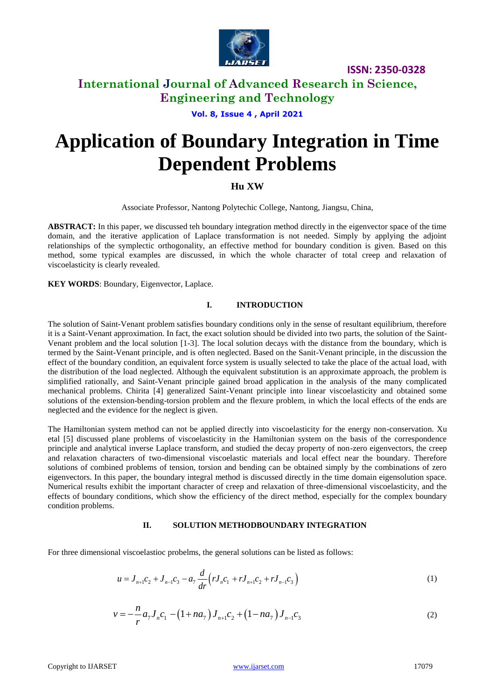

**ISSN: 2350-0328**

## **International Journal of Advanced Research in Science, Engineering and Technology**

**Vol. 8, Issue 4 , April 2021**

# **Application of Boundary Integration in Time Dependent Problems**

### **Hu XW**

Associate Professor, Nantong Polytechic College, Nantong, Jiangsu, China,

**ABSTRACT:** In this paper, we discussed teh boundary integration method directly in the eigenvector space of the time domain, and the iterative application of Laplace transformation is not needed. Simply by applying the adjoint relationships of the symplectic orthogonality, an effective method for boundary condition is given. Based on this method, some typical examples are discussed, in which the whole character of total creep and relaxation of viscoelasticity is clearly revealed.

**KEY WORDS**: Boundary, Eigenvector, Laplace.

#### **I. INTRODUCTION**

The solution of Saint-Venant problem satisfies boundary conditions only in the sense of resultant equilibrium, therefore it is a Saint-Venant approximation. In fact, the exact solution should be divided into two parts, the solution of the Saint-Venant problem and the local solution [1-3]. The local solution decays with the distance from the boundary, which is termed by the Saint-Venant principle, and is often neglected. Based on the Sanit-Venant principle, in the discussion the effect of the boundary condition, an equivalent force system is usually selected to take the place of the actual load, with the distribution of the load neglected. Although the equivalent substitution is an approximate approach, the problem is simplified rationally, and Saint-Venant principle gained broad application in the analysis of the many complicated mechanical problems. Chirita [4] generalized Saint-Venant principle into linear viscoelasticity and obtained some solutions of the extension-bending-torsion problem and the flexure problem, in which the local effects of the ends are neglected and the evidence for the neglect is given.

The Hamiltonian system method can not be applied directly into viscoelasticity for the energy non-conservation. Xu etal [5] discussed plane problems of viscoelasticity in the Hamiltonian system on the basis of the correspondence principle and analytical inverse Laplace transform, and studied the decay property of non-zero eigenvectors, the creep and relaxation characters of two-dimensional viscoelastic materials and local effect near the boundary. Therefore solutions of combined problems of tension, torsion and bending can be obtained simply by the combinations of zero eigenvectors. In this paper, the boundary integral method is discussed directly in the time domain eigensolution space. Numerical results exhibit the important character of creep and relaxation of three-dimensional viscoelasticity, and the effects of boundary conditions, which show the efficiency of the direct method, especially for the complex boundary condition problems.

#### **II. SOLUTION METHODBOUNDARY INTEGRATION**

For three dimensional viscoelastioc probelms, the general solutions can be listed as follows:

$$
u = J_{n+1}c_2 + J_{n-1}c_3 - a_7 \frac{d}{dr} \Big( r J_n c_1 + r J_{n+1}c_2 + r J_{n-1}c_3 \Big)
$$
 (1)

$$
v = -\frac{n}{r}a_7 J_n c_1 - (1 + na_7) J_{n+1} c_2 + (1 - na_7) J_{n-1} c_3
$$
\n(2)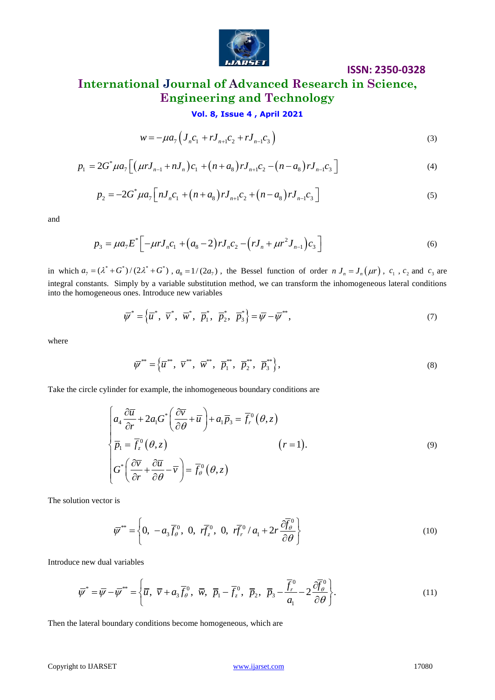

### **ISSN: 2350-0328**

## **International Journal of Advanced Research in Science, Engineering and Technology**

### **Vol. 8, Issue 4 , April 2021**

$$
w = -\mu a_7 \left( J_n c_1 + r J_{n+1} c_2 + r J_{n-1} c_3 \right)
$$
 (3)

$$
w = -\mu a_7 \left( J_n c_1 + r J_{n+1} c_2 + r J_{n-1} c_3 \right)
$$
\n
$$
p_1 = 2G^* \mu a_7 \left[ \left( \mu r J_{n-1} + n J_n \right) c_1 + \left( n + a_8 \right) r J_{n+1} c_2 - \left( n - a_8 \right) r J_{n-1} c_3 \right]
$$
\n
$$
\tag{4}
$$

2G 
$$
\mu a_{7} \left[ (\mu r J_{n-1} + n J_{n}) c_{1} + (n + a_{8}) r J_{n+1} c_{2} - (n - a_{8}) r J_{n-1} c_{3} \right]
$$
  
\n
$$
p_{2} = -2 G^* \mu a_{7} \left[ n J_{n} c_{1} + (n + a_{8}) r J_{n+1} c_{2} + (n - a_{8}) r J_{n-1} c_{3} \right]
$$
\n(5)

and

$$
p_3 = \mu a_7 E^* \left[ -\mu r J_n c_1 + (a_8 - 2) r J_n c_2 - (r J_n + \mu r^2 J_{n-1}) c_3 \right]
$$
(6)

in which  $a_7 = (\lambda^* + G^*)/(2\lambda^* + G^*)$ ,  $a_8 = 1/(2a_7)$ , the Bessel function of order  $n J_n = J_n(\mu r)$ ,  $c_1$ ,  $c_2$  and  $c_3$  are integral constants. Simply by a variable substitution method, we can transform the inhomogeneous lateral conditions into the homogeneous ones. Introduce new variables

$$
\overline{\psi}^* = \left\{ \overline{u}^*, \ \overline{v}^*, \ \overline{w}^*, \ \overline{p}_1^*, \ \overline{p}_2^*, \ \overline{p}_3^* \right\} = \overline{\psi} - \overline{\psi}^{**}, \tag{7}
$$

where

$$
\overline{\psi}^{**} = \left\{ \overline{u}^{**}, \ \overline{v}^{**}, \ \overline{w}^{**}, \ \overline{p}_1^{**}, \ \overline{p}_2^{**}, \ \overline{p}_3^{**} \right\},\tag{8}
$$

$$
w = -\mu a_{7} \left( J_{n}c_{1} + rJ_{n+1}c_{2} + rJ_{n-1}c_{3} \right)
$$
\n(3)  
\n
$$
p_{1} = 2G^{\circ} \mu a_{7} \left[ (\mu rJ_{n-1} + nJ_{n}) c_{1} + (n+a_{8}) rJ_{n+1}c_{2} - (n-a_{8}) rJ_{n-1}c_{3} \right]
$$
\n(4)  
\n
$$
p_{2} = -2G^{\circ} \mu a_{7} \left[ nJ_{n}c_{1} + (n+a_{8}) rJ_{n+1}c_{2} + (n-a_{8}) rJ_{n-1}c_{3} \right]
$$
\n(5)  
\nand  
\n
$$
p_{3} = \mu a_{7} E^{\circ} \left[ -\mu rJ_{n}c_{1} + (a_{8}-2) rJ_{n}c_{2} - (rJ_{n} + \mu r^{2}J_{n-1})c_{3} \right]
$$
\n(in which  $a_{7} = (\lambda^{2} + G^{\circ})/(2\lambda^{2} + G^{\circ})$ ,  $a_{6} = 1/(2a_{7})$ , the Bessel function of order  $n J_{n} = J_{n}(\mu r)$ ,  $c_{1}$ ,  $c_{2}$  and  $c_{3}$  in  
\n
$$
\text{triangle constants. Simply by a variable substitution method, we can transform the inhomogeneous lateral condition\ninto the homogeneous formable substitution method, we can transform the inhomogeneous\n
$$
\overline{\psi}^* = \left\{ \overline{u}^*, \overline{v}^*, \overline{w}^*, \overline{p}^*, \overline{p}^*, \overline{p}^*_{2}, \overline{p}^*_{3} \right\},
$$
\n(8)  
\nwhere  
\n
$$
\overline{\psi}^* = \left\{ \overline{u}^*, \overline{v}^*, \overline{w}^*, \overline{p}^*, \overline{p}^*, \overline{p}^*_{2}, \overline{p}^*_{3} \right\},
$$
\n(9)  
\nwhere  
\n
$$
\overline{\psi}^* = \left\{ \overline{u}^*, \overline{v}^*, \overline{w}^*, \overline{p}^*, \overline{p}^*, \overline{p}^*_{3}, \overline{p}^*_{3} \right\},
$$
$$

The solution vector is

$$
\overline{\psi}^{**} = \left\{ 0, \ -a_3 \overline{f}_{\theta}^0, \ 0, \ r\overline{f}_z^0, \ 0, \ r\overline{f}_r^0 / a_1 + 2r \frac{\partial \overline{f}_{\theta}^0}{\partial \theta} \right\}
$$
(10)

Introduce new dual variables

e new dual variables  
\n
$$
\overline{\psi}^* = \overline{\psi} - \overline{\psi}^{**} = \left\{ \overline{u}, \ \overline{v} + a_3 \overline{f}_{\theta}^0, \ \overline{w}, \ \overline{p}_1 - \overline{f}_z^0, \ \overline{p}_2, \ \overline{p}_3 - \frac{\overline{f}_{r}^0}{a_1} - 2 \frac{\partial \overline{f}_{\theta}^0}{\partial \theta} \right\}.
$$
\n(11)

Then the lateral boundary conditions become homogeneous, which are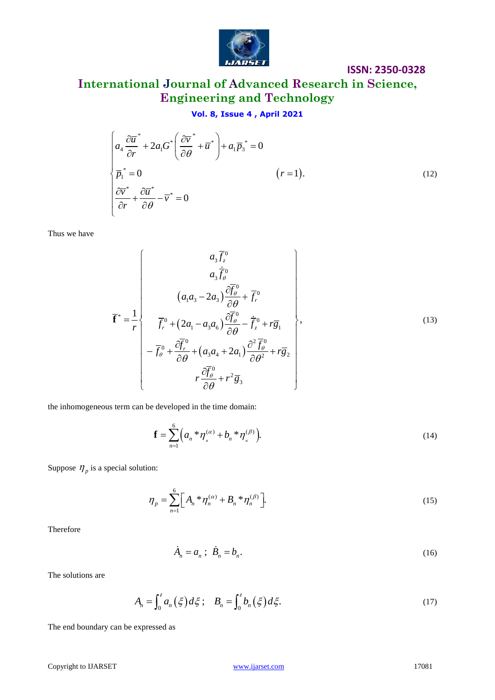

### **ISSN: 2350-0328**

## **International Journal of Advanced Research in Science, Engineering and Technology**

### **Vol. 8, Issue 4 , April 2021**

$$
\mathbf{v}_0 \cdot \mathbf{e}, \text{ issue 4, April 2021}
$$
\n
$$
\begin{cases}\na_4 \frac{\partial \overline{u}}{\partial r}^* + 2a_1 G^* \left( \frac{\partial \overline{v}}{\partial \theta}^* + \overline{u}^* \right) + a_1 \overline{p}_3^* = 0 \\
\overline{p}_1^* = 0 \qquad (r = 1).\n\end{cases}
$$
\n
$$
\frac{\partial \overline{v}}{\partial r}^* + \frac{\partial \overline{u}}{\partial \theta}^* - \overline{v}^* = 0
$$
\n(12)

Thus we have

Thus we have  
\n
$$
\begin{cases}\n\frac{\partial \overline{v}}{\partial r} + \frac{\partial \overline{u}^*}{\partial \theta} - \overline{v}^* = 0 & (r = 1).\n\end{cases}
$$
\n(12)  
\nThus we have  
\n
$$
\overline{f}^* = \frac{1}{r} \begin{cases}\n a_5 \overline{f}_0^0 \\
 a_5 \overline{f}_0^0 \\
 (a_4 a_5 - 2a_3) \frac{\partial \overline{f}_0^0}{\partial \theta} + \overline{f}_v^0 \\
 \overline{f}_v^0 + (2a_1 - a_3 a_5) \frac{\partial \overline{f}_0^0}{\partial \theta} - \overline{f}_z^0 + r \overline{g}_1 \\
 - \overline{f}_v^0 + (\overline{a_4 a_4} + 2a_1) \frac{\partial^2 \overline{f}_0^0}{\partial \theta^2} + r \overline{g}_2 \\
 r \frac{\partial \overline{f}_0}{\partial \theta} + r^2 \overline{g}_3\n\end{cases}
$$
\n(13)  
\nthe inhomogeneous term can be developed in the time domain:  
\n
$$
\mathbf{f} = \sum_{n=1}^{6} (a_n * \eta_s^{(n)} + b_n * \eta_s^{(n)})
$$
\n(14)  
\nSuppose  $\eta_p$  is a special solution:  
\n
$$
\eta_p = \sum_{n=1}^{6} [A_n * \eta_s^{(n)} + B_n * \eta_s^{(n)}]
$$
\n(15)  
\nTherefore  
\n
$$
\lambda_n = a_n; \ \vec{B}_n = b_n.
$$
\n(16)  
\nThe solutions are  
\n
$$
A_n = \int_0^z a_n (\xi) d\xi; \quad B_n = \int_0^z b_n (\xi) d\xi.
$$
\n(17)  
\nThe end boundary can be expressed as  
\nCopyright to DARSET  
\n17081

the inhomogeneous term can be developed in the time domain:

$$
\mathbf{f} = \sum_{n=1}^{6} \Big( a_n \cdot \eta_n^{(\alpha)} + b_n \cdot \eta_n^{(\beta)} \Big). \tag{14}
$$

Suppose  $\eta_p$  is a special solution:

$$
\eta_p = \sum_{n=1}^{6} \Big[ A_n * \eta_n^{(\alpha)} + B_n * \eta_n^{(\beta)} \Big].
$$
 (15)

Therefore

$$
\dot{A}_n = a_n; \ \dot{B}_n = b_n. \tag{16}
$$

The solutions are

$$
A_n = \int_0^z a_n(\xi) d\xi; \quad B_n = \int_0^z b_n(\xi) d\xi.
$$
 (17)

The end boundary can be expressed as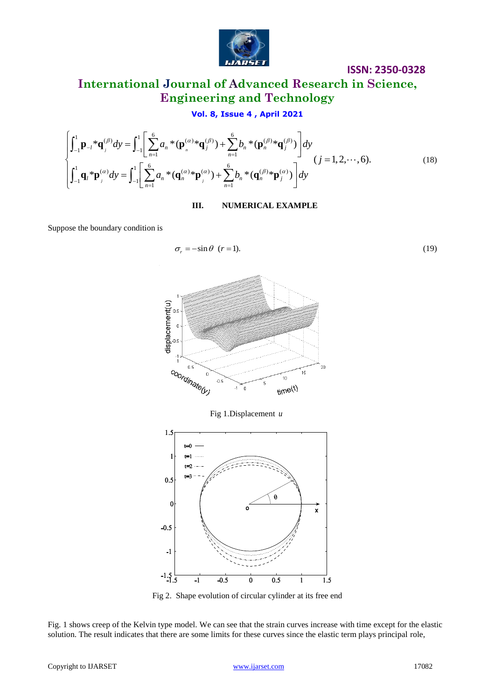

## **International Journal of Advanced Research in Science, Engineering and Technology**

**IDENTIFY and SET UP** Therefore,  
\n**Engineering and Technology**  
\n**Vol. 8, Issue 4, April 2021**  
\n
$$
\int_{-1}^{1} \mathbf{p}_{-l} * \mathbf{q}_{j}^{(\beta)} dy = \int_{-1}^{1} \left[ \sum_{n=1}^{6} a_{n} * (\mathbf{p}_{n}^{(\alpha)} * \mathbf{q}_{j}^{(\beta)}) + \sum_{n=1}^{6} b_{n} * (\mathbf{p}_{n}^{(\beta)} * \mathbf{q}_{j}^{(\beta)}) \right] dy
$$
\n
$$
(j = 1, 2, ..., 6).
$$
\n(18)

**III. NUMERICAL EXAMPLE**

Suppose the boundary condition is

$$
\sigma_r = -\sin\theta \ \ (r=1). \tag{19}
$$

**ISSN: 2350-0328**



Fig 2. Shape evolution of circular cylinder at its free end

 $\overline{\mathfrak{o}}$ 

 $0.5$ 

 $\overline{1}$ 

 $1.5$ 

 $-1$ 

 $-1.5$ 

 $\overline{\mathbf{1}}$ 

 $-0.5$ 

Fig. 1 shows creep of the Kelvin type model. We can see that the strain curves increase with time except for the elastic solution. The result indicates that there are some limits for these curves since the elastic term plays principal role,